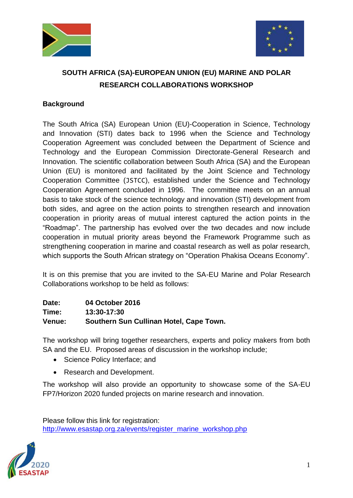



## **SOUTH AFRICA (SA)-EUROPEAN UNION (EU) MARINE AND POLAR RESEARCH COLLABORATIONS WORKSHOP**

## **Background**

The South Africa (SA) European Union (EU)-Cooperation in Science, Technology and Innovation (STI) dates back to 1996 when the Science and Technology Cooperation Agreement was concluded between the Department of Science and Technology and the European Commission Directorate-General Research and Innovation. The scientific collaboration between South Africa (SA) and the European Union (EU) is monitored and facilitated by the Joint Science and Technology Cooperation Committee (JSTCC), established under the Science and Technology Cooperation Agreement concluded in 1996. The committee meets on an annual basis to take stock of the science technology and innovation (STI) development from both sides, and agree on the action points to strengthen research and innovation cooperation in priority areas of mutual interest captured the action points in the "Roadmap". The partnership has evolved over the two decades and now include cooperation in mutual priority areas beyond the Framework Programme such as strengthening cooperation in marine and coastal research as well as polar research, which supports the South African strategy on "Operation Phakisa Oceans Economy".

It is on this premise that you are invited to the SA-EU Marine and Polar Research Collaborations workshop to be held as follows:

| Date:  | 04 October 2016                         |
|--------|-----------------------------------------|
| Time:  | 13:30-17:30                             |
| Venue: | Southern Sun Cullinan Hotel, Cape Town. |

The workshop will bring together researchers, experts and policy makers from both SA and the EU. Proposed areas of discussion in the workshop include;

- Science Policy Interface: and
- Research and Development.

The workshop will also provide an opportunity to showcase some of the SA-EU FP7/Horizon 2020 funded projects on marine research and innovation.

Please follow this link for registration: [http://www.esastap.org.za/events/register\\_marine\\_workshop.php](http://www.esastap.org.za/events/register_marine_workshop.php)